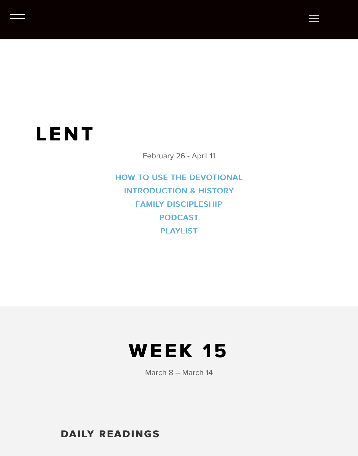## **LENT**

February 26 - April 11

HOW TO USE THE DEVOTIONAL **INTRODUCTION & HISTORY FAMILY DISCIPLESHIP PODCAST [PLAYLIST](https://clarity2020.org/how-to-use-clarity/)** 

## **WEEK 15 WEEK 15**

March 8 – March 14

**DAILY READINGS DAILY READINGS**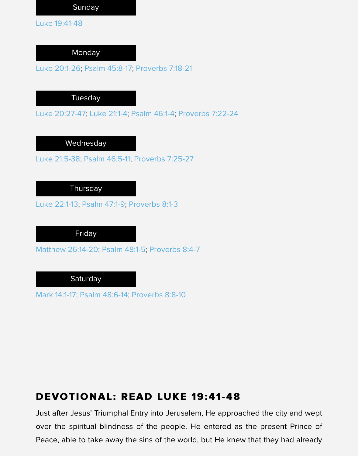Luke 20:1-26; Psalm 45:8-17; Proverbs 7:18-21

**Tuesday** 

Luke 20:27-47; Luke 21:1-4; Psalm 46:1-4; Proverbs 7:22-24

Wednesday

Luke 21:5-38; Psalm 46:5-11; Proverbs 7:25-27

**Thursday** 

Luke 22:1-13; Psalm 47:1-9; Proverbs 8:1-3

Friday

Matthew 26:14-20; Psalm 48:1-5; Proverbs 8:4-7

**Saturday** 

Mark 14:1-17; Psalm 48:6-14; Proverbs 8:8-10

#### **DEVOTIONAL: READ LUKE 19:41-48 DEVOTIONAL: READ LUKE 19:41-48**

Just after Jesus' Triumphal Entry into Jerusalem, He approached the city and over the spiritual blindness of the people. He entered as the present Prin Peace, able to take away the sins of the world, but He knew that they had already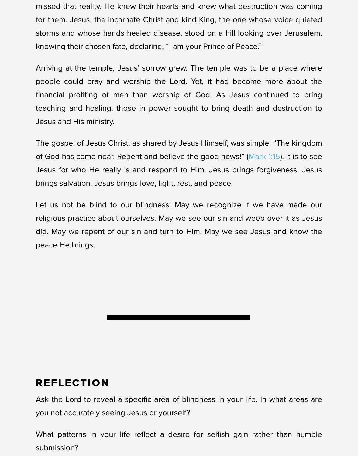Arriving at the temple, Jesus' sorrow grew. The temple was to be a place where people could pray and worship the Lord. Yet, it had become more about financial profiting of men than worship of God. As Jesus continued to teaching and healing, those in power sought to bring death and destruction Jesus and His ministry.

The gospel of Jesus Christ, as shared by Jesus Himself, was simple: "The king of God has come near. Repent and believe the good news!" (Mark 1:15). It is to Jesus for who He really is and respond to Him. Jesus brings forgiveness. brings salvation. Jesus brings love, light, rest, and peace.

Let us not be blind to our blindness! May we recognize if we have made religious practice about ourselves. May we see our sin and [weep over](https://www.biblegateway.com/passage/?search=Mar%201:15&version=NIV&src=tools) it as. did. May we repent of our sin and turn to Him. May we see Jesus and know peace He brings.

#### **REFLECTION REFLECTION**

Ask the Lord to reveal a specific area of blindness in your life. In what area you not accurately seeing Jesus or yourself?

What patterns in your life reflect a desire for selfish gain rather than humble submission?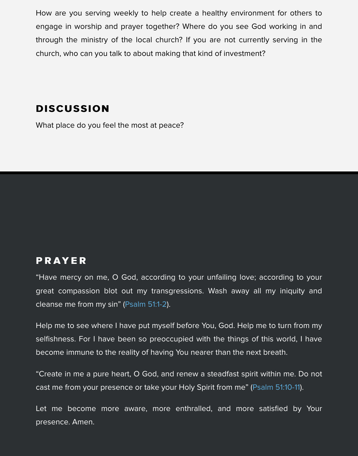#### **DISCUSSION DISCUSSION**

What place do you feel the most at peace?

#### **PRAYER**

"Have mercy on me, O God, according to your unfailing love; according to great compassion blot out my transgressions. Wash away all my iniquity cleanse me from my sin" (Psalm 51:1-2).

Help me to see where I have put myself before You, God. Help me to turn from selfishness. For I have been so preoccupied with the things of this world, I become immune to the reality of having You nearer than the next breath.

"Create in me a pure hea[rt, O God, an](https://www.biblegateway.com/passage/?search=Psalm%2051:1-2&version=NIV&src=tools)d renew a steadfast spirit within me. D cast me from your presence or take your Holy Spirit from me" (Psalm 51:10-11).

Let me become more aware, more enthralled, and more satisfied by presence. Amen.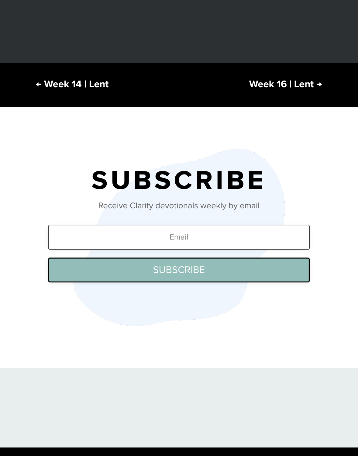## **SUBSCRIBE SUBSCRIBE**

Receive Clarity devotionals weekly by email

Email

**SUBSCRIBE**